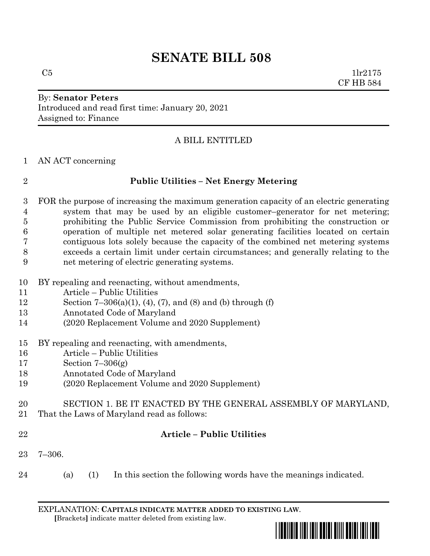# **SENATE BILL 508**

By: **Senator Peters** Introduced and read first time: January 20, 2021 Assigned to: Finance

## A BILL ENTITLED

AN ACT concerning

## **Public Utilities – Net Energy Metering**

 FOR the purpose of increasing the maximum generation capacity of an electric generating system that may be used by an eligible customer–generator for net metering; prohibiting the Public Service Commission from prohibiting the construction or operation of multiple net metered solar generating facilities located on certain contiguous lots solely because the capacity of the combined net metering systems exceeds a certain limit under certain circumstances; and generally relating to the net metering of electric generating systems.

- BY repealing and reenacting, without amendments,
- Article Public Utilities
- Section 7–306(a)(1), (4), (7), and (8) and (b) through (f)
- Annotated Code of Maryland
- (2020 Replacement Volume and 2020 Supplement)
- BY repealing and reenacting, with amendments,
- Article Public Utilities
- Section 7–306(g)
- Annotated Code of Maryland
- (2020 Replacement Volume and 2020 Supplement)
- SECTION 1. BE IT ENACTED BY THE GENERAL ASSEMBLY OF MARYLAND,
- That the Laws of Maryland read as follows:
- 

## **Article – Public Utilities**

- 7–306.
- (a) (1) In this section the following words have the meanings indicated.

EXPLANATION: **CAPITALS INDICATE MATTER ADDED TO EXISTING LAW**.  **[**Brackets**]** indicate matter deleted from existing law.

<u>\*sb0808 \*sb08088 \*sb08088 \*sb0808</u>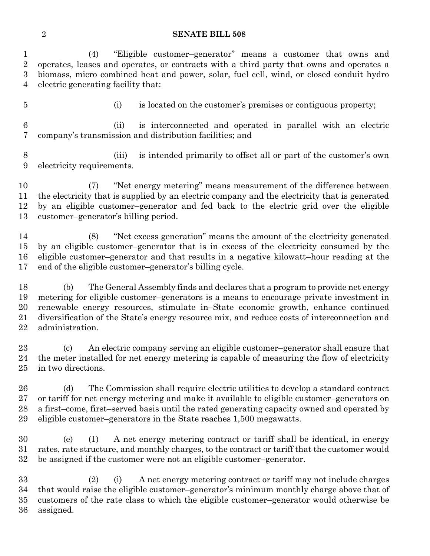#### **SENATE BILL 508**

 (4) "Eligible customer–generator" means a customer that owns and operates, leases and operates, or contracts with a third party that owns and operates a biomass, micro combined heat and power, solar, fuel cell, wind, or closed conduit hydro electric generating facility that:

- 
- (i) is located on the customer's premises or contiguous property;

 (ii) is interconnected and operated in parallel with an electric company's transmission and distribution facilities; and

 (iii) is intended primarily to offset all or part of the customer's own electricity requirements.

 (7) "Net energy metering" means measurement of the difference between the electricity that is supplied by an electric company and the electricity that is generated by an eligible customer–generator and fed back to the electric grid over the eligible customer–generator's billing period.

 (8) "Net excess generation" means the amount of the electricity generated by an eligible customer–generator that is in excess of the electricity consumed by the eligible customer–generator and that results in a negative kilowatt–hour reading at the end of the eligible customer–generator's billing cycle.

 (b) The General Assembly finds and declares that a program to provide net energy metering for eligible customer–generators is a means to encourage private investment in renewable energy resources, stimulate in–State economic growth, enhance continued diversification of the State's energy resource mix, and reduce costs of interconnection and administration.

 (c) An electric company serving an eligible customer–generator shall ensure that the meter installed for net energy metering is capable of measuring the flow of electricity in two directions.

 (d) The Commission shall require electric utilities to develop a standard contract or tariff for net energy metering and make it available to eligible customer–generators on a first–come, first–served basis until the rated generating capacity owned and operated by eligible customer–generators in the State reaches 1,500 megawatts.

 (e) (1) A net energy metering contract or tariff shall be identical, in energy rates, rate structure, and monthly charges, to the contract or tariff that the customer would be assigned if the customer were not an eligible customer–generator.

 (2) (i) A net energy metering contract or tariff may not include charges that would raise the eligible customer–generator's minimum monthly charge above that of customers of the rate class to which the eligible customer–generator would otherwise be assigned.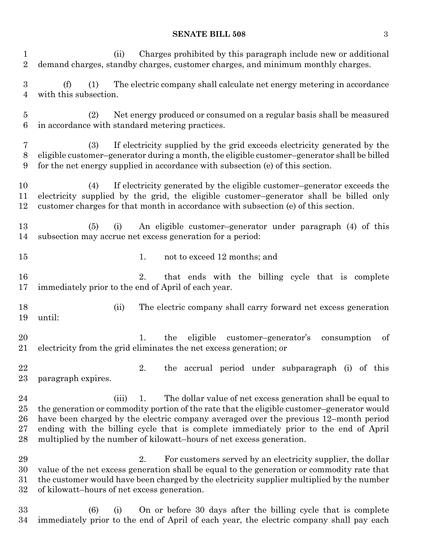## **SENATE BILL 508** 3

| $\mathbf 1$<br>$\overline{2}$      | Charges prohibited by this paragraph include new or additional<br>(ii)<br>demand charges, standby charges, customer charges, and minimum monthly charges.                                                                                                                                                                                                                                                                        |
|------------------------------------|----------------------------------------------------------------------------------------------------------------------------------------------------------------------------------------------------------------------------------------------------------------------------------------------------------------------------------------------------------------------------------------------------------------------------------|
| 3<br>$\overline{4}$                | The electric company shall calculate net energy metering in accordance<br>(f)<br>(1)<br>with this subsection.                                                                                                                                                                                                                                                                                                                    |
| $\overline{5}$<br>6                | Net energy produced or consumed on a regular basis shall be measured<br>(2)<br>in accordance with standard metering practices.                                                                                                                                                                                                                                                                                                   |
| 7<br>8<br>9                        | If electricity supplied by the grid exceeds electricity generated by the<br>(3)<br>eligible customer-generator during a month, the eligible customer-generator shall be billed<br>for the net energy supplied in accordance with subsection (e) of this section.                                                                                                                                                                 |
| 10<br>11<br>12                     | If electricity generated by the eligible customer-generator exceeds the<br>(4)<br>electricity supplied by the grid, the eligible customer-generator shall be billed only<br>customer charges for that month in accordance with subsection (e) of this section.                                                                                                                                                                   |
| 13<br>14                           | An eligible customer-generator under paragraph (4) of this<br>(5)<br>(i)<br>subsection may accrue net excess generation for a period:                                                                                                                                                                                                                                                                                            |
| $15\,$                             | not to exceed 12 months; and<br>1.                                                                                                                                                                                                                                                                                                                                                                                               |
| 16<br>17                           | 2.<br>that ends with the billing cycle that is complete<br>immediately prior to the end of April of each year.                                                                                                                                                                                                                                                                                                                   |
| 18<br>19                           | The electric company shall carry forward net excess generation<br>(ii)<br>until:                                                                                                                                                                                                                                                                                                                                                 |
| 20<br>21                           | eligible customer-generator's<br>the<br>of<br>consumption<br>1.<br>electricity from the grid eliminates the net excess generation; or                                                                                                                                                                                                                                                                                            |
| 22<br>23                           | 2.<br>the accrual period under subparagraph (i) of this<br>paragraph expires.                                                                                                                                                                                                                                                                                                                                                    |
| 24<br>$25\,$<br>26<br>$27\,$<br>28 | (iii)<br>1.<br>The dollar value of net excess generation shall be equal to<br>the generation or commodity portion of the rate that the eligible customer-generator would<br>have been charged by the electric company averaged over the previous 12–month period<br>ending with the billing cycle that is complete immediately prior to the end of April<br>multiplied by the number of kilowatt-hours of net excess generation. |
| 29<br>30<br>$31\,$<br>$32\,$       | 2.<br>For customers served by an electricity supplier, the dollar<br>value of the net excess generation shall be equal to the generation or commodity rate that<br>the customer would have been charged by the electricity supplier multiplied by the number<br>of kilowatt-hours of net excess generation.                                                                                                                      |
|                                    |                                                                                                                                                                                                                                                                                                                                                                                                                                  |

 (6) (i) On or before 30 days after the billing cycle that is complete immediately prior to the end of April of each year, the electric company shall pay each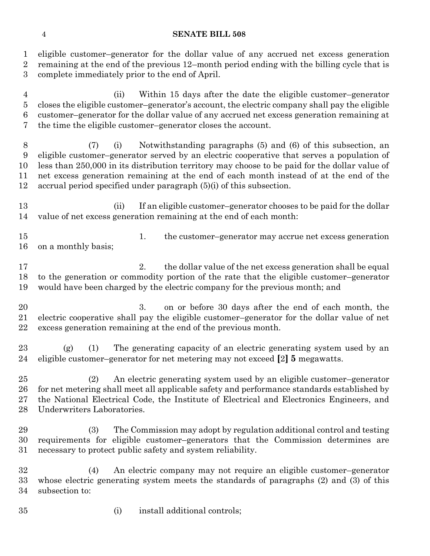### **SENATE BILL 508**

 eligible customer–generator for the dollar value of any accrued net excess generation remaining at the end of the previous 12–month period ending with the billing cycle that is complete immediately prior to the end of April.

 (ii) Within 15 days after the date the eligible customer–generator closes the eligible customer–generator's account, the electric company shall pay the eligible customer–generator for the dollar value of any accrued net excess generation remaining at the time the eligible customer–generator closes the account.

 (7) (i) Notwithstanding paragraphs (5) and (6) of this subsection, an eligible customer–generator served by an electric cooperative that serves a population of less than 250,000 in its distribution territory may choose to be paid for the dollar value of net excess generation remaining at the end of each month instead of at the end of the accrual period specified under paragraph (5)(i) of this subsection.

13 (ii) If an eligible customer–generator chooses to be paid for the dollar value of net excess generation remaining at the end of each month:

 1. the customer–generator may accrue net excess generation on a monthly basis;

17 2. the dollar value of the net excess generation shall be equal to the generation or commodity portion of the rate that the eligible customer–generator would have been charged by the electric company for the previous month; and

 3. on or before 30 days after the end of each month, the electric cooperative shall pay the eligible customer–generator for the dollar value of net excess generation remaining at the end of the previous month.

 (g) (1) The generating capacity of an electric generating system used by an eligible customer–generator for net metering may not exceed **[**2**] 5** megawatts.

 (2) An electric generating system used by an eligible customer–generator for net metering shall meet all applicable safety and performance standards established by the National Electrical Code, the Institute of Electrical and Electronics Engineers, and Underwriters Laboratories.

 (3) The Commission may adopt by regulation additional control and testing requirements for eligible customer–generators that the Commission determines are necessary to protect public safety and system reliability.

 (4) An electric company may not require an eligible customer–generator whose electric generating system meets the standards of paragraphs (2) and (3) of this subsection to:

(i) install additional controls;